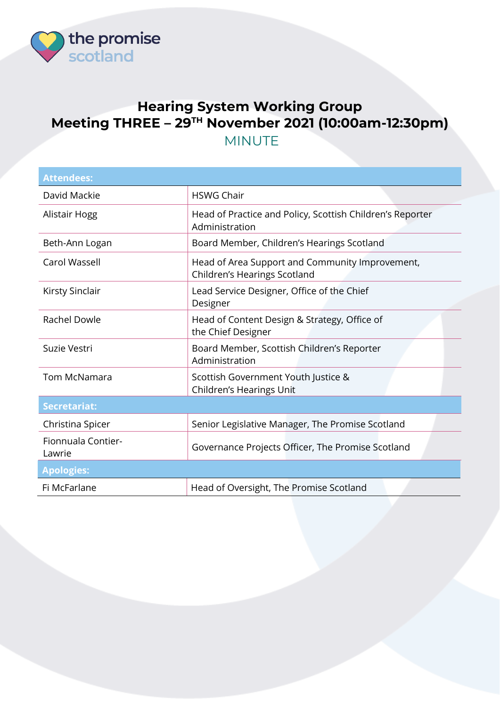

## **Hearing System Working Group Meeting THREE – 29TH November 2021 (10:00am-12:30pm)** MINUTE

| <b>Attendees:</b>            |                                                                                 |  |
|------------------------------|---------------------------------------------------------------------------------|--|
| David Mackie                 | <b>HSWG Chair</b>                                                               |  |
| Alistair Hogg                | Head of Practice and Policy, Scottish Children's Reporter<br>Administration     |  |
| Beth-Ann Logan               | Board Member, Children's Hearings Scotland                                      |  |
| Carol Wassell                | Head of Area Support and Community Improvement,<br>Children's Hearings Scotland |  |
| <b>Kirsty Sinclair</b>       | Lead Service Designer, Office of the Chief<br>Designer                          |  |
| Rachel Dowle                 | Head of Content Design & Strategy, Office of<br>the Chief Designer              |  |
| Suzie Vestri                 | Board Member, Scottish Children's Reporter<br>Administration                    |  |
| <b>Tom McNamara</b>          | Scottish Government Youth Justice &<br>Children's Hearings Unit                 |  |
| <b>Secretariat:</b>          |                                                                                 |  |
| Christina Spicer             | Senior Legislative Manager, The Promise Scotland                                |  |
| Fionnuala Contier-<br>Lawrie | Governance Projects Officer, The Promise Scotland                               |  |
| <b>Apologies:</b>            |                                                                                 |  |
| Fi McFarlane                 | Head of Oversight, The Promise Scotland                                         |  |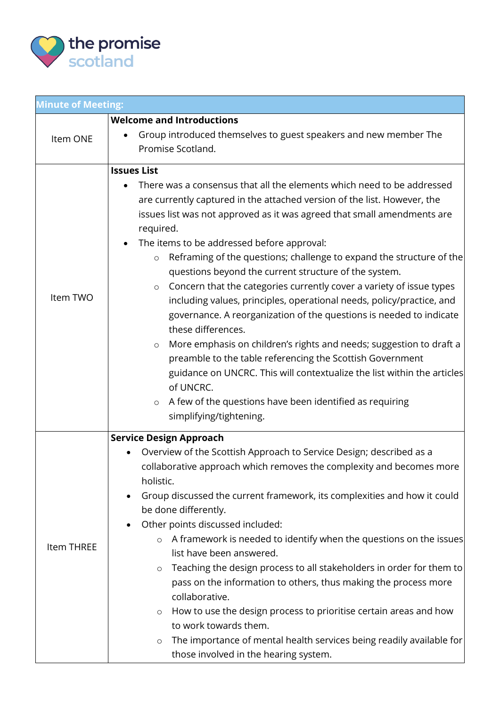

| <b>Minute of Meeting:</b> |                                                                                                                                                                                                                                                                                                                                                                                                                                                                                                                                                                                                                                                                                                                                                                                                                                                                                                                                                                                                                                                              |  |
|---------------------------|--------------------------------------------------------------------------------------------------------------------------------------------------------------------------------------------------------------------------------------------------------------------------------------------------------------------------------------------------------------------------------------------------------------------------------------------------------------------------------------------------------------------------------------------------------------------------------------------------------------------------------------------------------------------------------------------------------------------------------------------------------------------------------------------------------------------------------------------------------------------------------------------------------------------------------------------------------------------------------------------------------------------------------------------------------------|--|
|                           | <b>Welcome and Introductions</b>                                                                                                                                                                                                                                                                                                                                                                                                                                                                                                                                                                                                                                                                                                                                                                                                                                                                                                                                                                                                                             |  |
| Item ONE                  | Group introduced themselves to guest speakers and new member The<br>Promise Scotland.                                                                                                                                                                                                                                                                                                                                                                                                                                                                                                                                                                                                                                                                                                                                                                                                                                                                                                                                                                        |  |
| Item TWO                  | <b>Issues List</b><br>There was a consensus that all the elements which need to be addressed<br>are currently captured in the attached version of the list. However, the<br>issues list was not approved as it was agreed that small amendments are<br>required.<br>The items to be addressed before approval:<br>Reframing of the questions; challenge to expand the structure of the<br>$\circ$<br>questions beyond the current structure of the system.<br>Concern that the categories currently cover a variety of issue types<br>$\circ$<br>including values, principles, operational needs, policy/practice, and<br>governance. A reorganization of the questions is needed to indicate<br>these differences.<br>More emphasis on children's rights and needs; suggestion to draft a<br>$\circ$<br>preamble to the table referencing the Scottish Government<br>guidance on UNCRC. This will contextualize the list within the articles<br>of UNCRC.<br>A few of the questions have been identified as requiring<br>$\circ$<br>simplifying/tightening. |  |
| Item THREE                | <b>Service Design Approach</b><br>Overview of the Scottish Approach to Service Design; described as a<br>collaborative approach which removes the complexity and becomes more<br>holistic.<br>Group discussed the current framework, its complexities and how it could<br>be done differently.<br>Other points discussed included:<br>A framework is needed to identify when the questions on the issues<br>$\circ$<br>list have been answered.<br>Teaching the design process to all stakeholders in order for them to<br>$\circ$<br>pass on the information to others, thus making the process more<br>collaborative.<br>How to use the design process to prioritise certain areas and how<br>$\circ$<br>to work towards them.<br>The importance of mental health services being readily available for<br>$\circ$<br>those involved in the hearing system.                                                                                                                                                                                                 |  |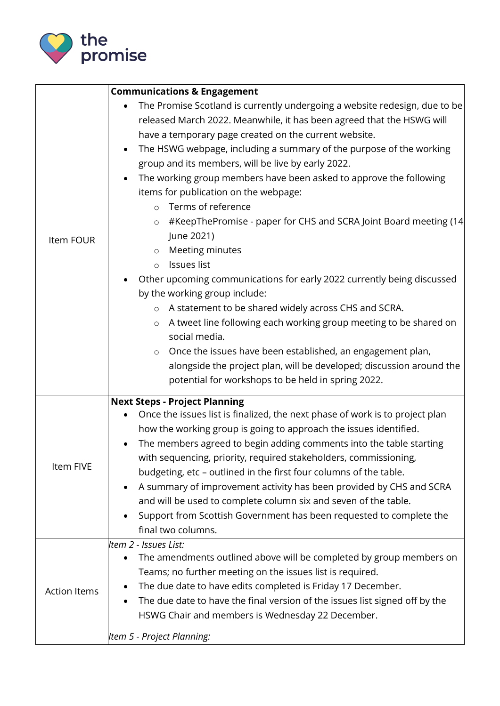

|                     | <b>Communications &amp; Engagement</b>                                                                                                                                                                                                                                                                                                                                                                                                                                                                                                                                                                                                                                                                                                                                                                                                                                                                                                                                                                                                                                                                                                                         |  |
|---------------------|----------------------------------------------------------------------------------------------------------------------------------------------------------------------------------------------------------------------------------------------------------------------------------------------------------------------------------------------------------------------------------------------------------------------------------------------------------------------------------------------------------------------------------------------------------------------------------------------------------------------------------------------------------------------------------------------------------------------------------------------------------------------------------------------------------------------------------------------------------------------------------------------------------------------------------------------------------------------------------------------------------------------------------------------------------------------------------------------------------------------------------------------------------------|--|
| Item FOUR           | The Promise Scotland is currently undergoing a website redesign, due to be<br>$\bullet$<br>released March 2022. Meanwhile, it has been agreed that the HSWG will<br>have a temporary page created on the current website.<br>The HSWG webpage, including a summary of the purpose of the working<br>$\bullet$<br>group and its members, will be live by early 2022.<br>The working group members have been asked to approve the following<br>items for publication on the webpage:<br>Terms of reference<br>$\circ$<br>#KeepThePromise - paper for CHS and SCRA Joint Board meeting (14<br>$\circ$<br>June 2021)<br>Meeting minutes<br>$\circ$<br>Issues list<br>$\circ$<br>Other upcoming communications for early 2022 currently being discussed<br>by the working group include:<br>A statement to be shared widely across CHS and SCRA.<br>$\circ$<br>A tweet line following each working group meeting to be shared on<br>$\circ$<br>social media.<br>Once the issues have been established, an engagement plan,<br>$\circ$<br>alongside the project plan, will be developed; discussion around the<br>potential for workshops to be held in spring 2022. |  |
| Item FIVE           | <b>Next Steps - Project Planning</b><br>Once the issues list is finalized, the next phase of work is to project plan<br>how the working group is going to approach the issues identified.<br>The members agreed to begin adding comments into the table starting<br>with sequencing, priority, required stakeholders, commissioning,<br>budgeting, etc - outlined in the first four columns of the table.<br>A summary of improvement activity has been provided by CHS and SCRA<br>and will be used to complete column six and seven of the table.<br>Support from Scottish Government has been requested to complete the<br>final two columns.                                                                                                                                                                                                                                                                                                                                                                                                                                                                                                               |  |
| <b>Action Items</b> | Item 2 - Issues List:<br>The amendments outlined above will be completed by group members on<br>Teams; no further meeting on the issues list is required.<br>The due date to have edits completed is Friday 17 December.<br>The due date to have the final version of the issues list signed off by the<br>HSWG Chair and members is Wednesday 22 December.<br>Item 5 - Project Planning:                                                                                                                                                                                                                                                                                                                                                                                                                                                                                                                                                                                                                                                                                                                                                                      |  |